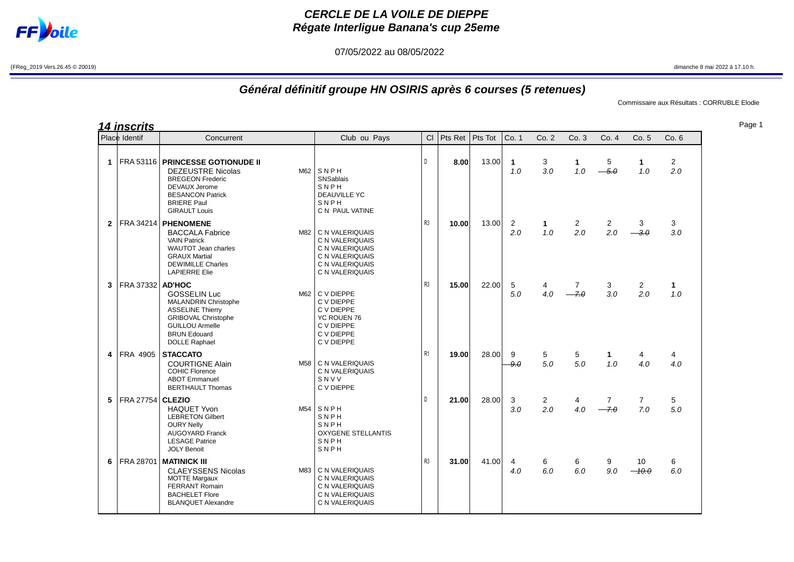

## **CERCLE DE LA VOILE DE DIEPPE Régate Interligue Banana's cup 25eme**

07/05/2022 au 08/05/2022

(FReg\_2019 Vers.26.45 © 20019) dimanche 8 mai 2022 à 17.10 h.

## **Général définitif groupe HN OSIRIS après 6 courses (5 retenues)**

Commissaire aux Résultats : CORRUBLE Elodie

**14 inscrits**

|                | Place Identif           | Concurrent                                                                                                                                                                                        | Club ou Pays                                                                                                         | Cl             | Pts Ret | Pts Tot | Co. 1                 | Co.2                  | Co.3                  | Co.4                  | Co. 5                  | Co.6                  |
|----------------|-------------------------|---------------------------------------------------------------------------------------------------------------------------------------------------------------------------------------------------|----------------------------------------------------------------------------------------------------------------------|----------------|---------|---------|-----------------------|-----------------------|-----------------------|-----------------------|------------------------|-----------------------|
| 1              |                         | <b>FRA 53116   PRINCESSE GOTIONUDE II</b><br><b>DEZEUSTRE Nicolas</b><br><b>BREGEON Frederic</b><br><b>DEVAUX Jerome</b><br><b>BESANCON Patrick</b><br><b>BRIERE Paul</b><br><b>GIRAULT Louis</b> | $M62$ SNPH<br>SNSablais<br>SNPH<br><b>DEAUVILLE YC</b><br>SNPH<br>C N PAUL VATINE                                    | D              | 8.00    | 13.00   | 1<br>1.0              | 3<br>3.0              | 1<br>1.0              | 5<br>$-5.0$           | 1<br>1.0               | $\overline{2}$<br>2.0 |
| $\overline{2}$ |                         | FRA 34214   PHENOMENE<br><b>BACCALA Fabrice</b><br><b>VAIN Patrick</b><br><b>WAUTOT Jean charles</b><br><b>GRAUX Martial</b><br><b>DEWIMILLE Charles</b><br><b>LAPIERRE Elie</b>                  | M82   C N VALERIQUAIS<br>C N VALERIQUAIS<br>C N VALERIQUAIS<br>C N VALERIQUAIS<br>C N VALERIQUAIS<br>C N VALERIQUAIS | R <sub>3</sub> | 10.00   | 13.00   | $\overline{2}$<br>2.0 | 1<br>1.0              | $\overline{2}$<br>2.0 | 2<br>2.0              | 3<br>$\partial \theta$ | 3<br>3.0              |
| 3              | FRA 37332 AD'HOC        | <b>GOSSELIN Luc</b><br><b>MALANDRIN Christophe</b><br><b>ASSELINE Thierry</b><br><b>GRIBOVAL Christophe</b><br><b>GUILLOU Armelle</b><br><b>BRUN Edouard</b><br><b>DOLLE Raphael</b>              | M62 C V DIEPPE<br>C V DIEPPE<br>C V DIEPPE<br><b>YC ROUEN 76</b><br>C V DIEPPE<br>C V DIEPPE<br>C V DIEPPE           | R <sub>3</sub> | 15.00   | 22.00   | 5<br>5.0              | 4<br>4.0              | 7<br>7.0              | 3<br>3.0              | 2<br>2.0               | $\mathbf{1}$<br>1.0   |
| 4              | <b>FRA 4905</b>         | <b>STACCATO</b><br><b>COURTIGNE Alain</b><br><b>COHIC Florence</b><br><b>ABOT Emmanuel</b><br><b>BERTHAULT Thomas</b>                                                                             | M58   C N VALERIQUAIS<br>C N VALERIQUAIS<br>SNVV<br>C V DIEPPE                                                       | R1             | 19.00   | 28.00   | 9<br>$-9.0$           | 5<br>5.0              | 5<br>5.0              | $\mathbf{1}$<br>1.0   | 4<br>4.0               | 4<br>4.0              |
| 5              | <b>FRA 27754 CLEZIO</b> | <b>HAQUET Yvon</b><br>M54<br><b>LEBRETON Gilbert</b><br><b>OURY Nelly</b><br><b>AUGOYARD Franck</b><br><b>LESAGE Patrice</b><br><b>JOLY Benoit</b>                                                | SNPH<br>SNPH<br>SNPH<br><b>OXYGENE STELLANTIS</b><br>SNPH<br>SNPH                                                    | D              | 21.00   | 28.00   | 3<br>3.0              | $\overline{2}$<br>2.0 | 4<br>4.0              | $\overline{7}$<br>7.0 | $\overline{7}$<br>7.0  | 5<br>5.0              |
| 6              | FRA 28701               | <b>MATINICK III</b><br><b>CLAEYSSENS Nicolas</b><br>M83<br><b>MOTTE Margaux</b><br><b>FERRANT Romain</b><br><b>BACHELET Flore</b><br><b>BLANQUET Alexandre</b>                                    | C N VALERIQUAIS<br>C N VALERIQUAIS<br>C N VALERIQUAIS<br>C N VALERIQUAIS<br>C N VALERIQUAIS                          | R <sub>3</sub> | 31.00   | 41.00   | 4<br>4.0              | 6<br>6.0              | 6<br>6.0              | 9<br>9.0              | 10<br>$-10.0$          | 6<br>6.0              |

Page 1